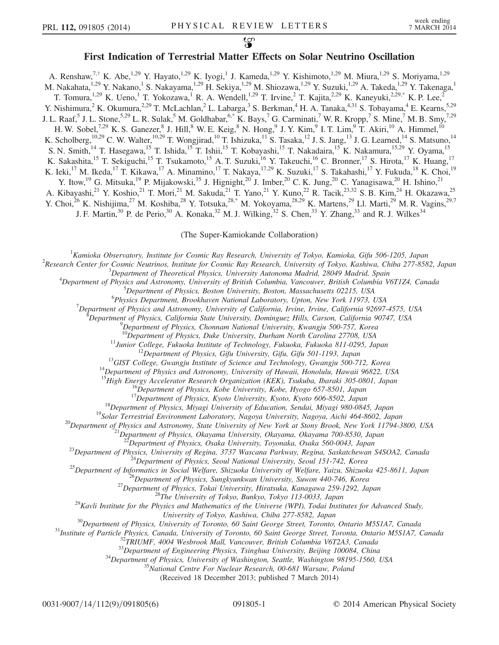## First Indication of Terrestrial Matter Effects on Solar Neutrino Oscillation

<span id="page-0-1"></span>A. Renshaw,<sup>7,[†](#page-5-0)</sup> K. Abe,<sup>1,29</sup> Y. Hayato,<sup>1,29</sup> K. Iyogi,<sup>1</sup> J. Kameda,<sup>1,29</sup> Y. Kishimoto,<sup>1,29</sup> M. Miura,<sup>1,29</sup> S. Moriyama,<sup>1,29</sup> M. Nakahata,<sup>1,29</sup> Y. Nakano,<sup>1</sup> S. Nakayama,<sup>1,29</sup> H. Sekiya,<sup>1,29</sup> M. Shiozawa,<sup>1,29</sup> Y. Suzuki,<sup>1,29</sup> A. Takeda,<sup>1,29</sup> Y. Takenaga,<sup>1</sup> T. Tomura,<sup>1,29</sup> K. Ueno,<sup>1</sup> T. Yokozawa,<sup>1</sup> R. A. Wendell,<sup>1,29</sup> T. Irvine,<sup>2</sup> T. Kajita,<sup>2,29</sup> K. Kaneyuki,<sup>2,29[,\\*](#page-5-1)</sup> K. P. Lee,<sup>2</sup> Y. Nishimura,<sup>2</sup> K. Okumura,<sup>2,29</sup> T. McLachlan,<sup>2</sup> L. Labarga,<sup>3</sup> S. Berkman,<sup>4</sup> H. A. Tanaka,<sup>4,31</sup> S. Tobayama,<sup>4</sup> E. Kearns,<sup>5,29</sup> J. L. Raaf, 5 J. L. Stone,  $5.29$  L. R. Sulak,  $5$  M. Goldhabar,  $6.*$  K. Bays,  $7$  G. Carminati,  $7$  W. R. Kropp,  $7$  S. Mine,  $7$  M. B. Smy,  $7.29$ H. W. Sobel,<sup>7,29</sup> K. S. Ganezer, <sup>8</sup> J. Hill, <sup>8</sup> W. E. Keig, <sup>8</sup> N. Hong, <sup>9</sup> J. Y. Kim, <sup>9</sup> I. T. Lim, <sup>9</sup> T. Akiri, <sup>10</sup> A. Himmel, <sup>10</sup> K. Scholberg,<sup>10,29</sup> C. W. Walter,<sup>10,29</sup> T. Wongjirad,<sup>10</sup> T. Ishizuka,<sup>11</sup> S. Tasaka,<sup>12</sup> J. S. Jang,<sup>13</sup> J. G. Learned,<sup>14</sup> S. Matsuno,<sup>14</sup> S. N. Smith,<sup>14</sup> T. Hasegawa,<sup>15</sup> T. Ishida,<sup>15</sup> T. Ishii,<sup>15</sup> T. Kobayashi,<sup>15</sup> T. Nakadaira,<sup>15</sup> K. Nakamura,<sup>15,29</sup> Y. Oyama,<sup>15</sup> K. Sakashita,<sup>15</sup> T. Sekiguchi,<sup>15</sup> T. Tsukamoto,<sup>15</sup> A. T. Suzuki,<sup>16</sup> Y. Takeuchi,<sup>16</sup> C. Bronner,<sup>17</sup> S. Hirota,<sup>17</sup> K. Huang,<sup>17</sup> K. Ieki,<sup>17</sup> M. Ikeda,<sup>17</sup> T. Kikawa,<sup>17</sup> A. Minamino,<sup>17</sup> T. Nakaya,<sup>17,29</sup> K. Suzuki,<sup>17</sup> S. Takahashi,<sup>17</sup> Y. Fukuda,<sup>18</sup> K. Choi,<sup>19</sup> Y. Itow,<sup>19</sup> G. Mitsuka,<sup>19</sup> P. Mijakowski,<sup>35</sup> J. Hignight,<sup>20</sup> J. Imber,<sup>20</sup> C. K. Jung,<sup>20</sup> C. Yanagisawa,<sup>20</sup> H. Ishino,<sup>21</sup> A. Kibayashi,<sup>21</sup> Y. Koshio,<sup>21</sup> T. Mori,<sup>21</sup> M. Sakuda,<sup>21</sup> T. Yano,<sup>21</sup> Y. Kuno,<sup>22</sup> R. Tacik,<sup>23,32</sup> S. B. Kim,<sup>24</sup> H. Okazawa,<sup>25</sup> Y. Choi,<sup>26</sup> K. Nishijima,<sup>27</sup> M. Koshiba,<sup>28</sup> Y. Totsuka,<sup>28[,\\*](#page-5-1)</sup> M. Yokoyama,<sup>28,29</sup> K. Martens,<sup>29</sup> Ll. Marti,<sup>29</sup> M. R. Vagins,<sup>29,7</sup> J. F. Martin,<sup>30</sup> P. de Perio,<sup>30</sup> A. Konaka,<sup>32</sup> M. J. Wilking,<sup>32</sup> S. Chen,<sup>33</sup> Y. Zhang,<sup>33</sup> and R. J. Wilkes<sup>34</sup>

(The Super-Kamiokande Collaboration)

<span id="page-0-0"></span><sup>1</sup> Kamioka Observatory, Institute for Cosmic Ray Research, University of Tokyo, Kamioka, Gifu 506-1205, Japan <sup>2</sup> Pescarah Cantas for Cosmic Nautrinos, Institute for Cosmic Ray Research, University of Tokyo, Kaphiya, Chib

<sup>2</sup> Research Center for Cosmic Neutrinos, Institute for Cosmic Ray Research, University of Tokyo, Kashiwa, Chiba 277-8582, Japan  ${}^{3}$ Department of Theoretical Physics, University Autonoma Madrid, 28049 Madrid, Spain

<sup>3</sup>Department of Theoretical Physics, University Autonoma Madrid, 28049 Madrid, Spain<sup>4</sup>Department of Physics and Astronomy University of Pritish Columbia Vancouver, Pritish Columbia V

Department of Physics and Astronomy, University of British Columbia, Vancouver, British Columbia V6T1Z4, Canada<br><sup>5</sup>Department of Physics, Poston University, Poston, Massachusetts 02215, USA

 ${}^{5}$ Department of Physics, Boston University, Boston, Massachusetts 02215, USA

Physics Department, Brookhaven National Laboratory, Upton, New York 11973, USA <sup>7</sup>

 $^7$ Department of Physics and Astronomy, University of California, Irvine, Irvine, California 92697-4575, USA

Department of Physics, California State University, Dominguez Hills, Carson, California 90747, USA <sup>9</sup>

 $^{9}$ Department of Physics, Chonnam National University, Kwangju 500-757, Korea  $^{10}$ Department of Physics, Duke University, Durham North Carolina 27708, USA

<sup>11</sup>Junior College, Fukuoka Institute of Technology, Fukuoka, Fukuoka 811-0295, Japan<br><sup>12</sup>Department of Physics, Gifu University, Gifu, Gifu 501-1193, Japan<br><sup>13</sup>GIST College, Gwangju Institute of Science and Technology, G

<sup>16</sup>Department of Physics, Kobe University, Kobe, Hyogo 657-8501, Japan<br><sup>17</sup>Department of Physics, Kyoto University, Kyoto, Kyoto 606-8502, Japan<br><sup>18</sup>Department of Physics, Miyagi University of Education, Sendai, Miyagi 9

<sup>23</sup>Department of Physics, University of Regina, 3737 Wascana Parkway, Regina, Saskatchewan S4SOA2, Canada<sup>24</sup>Department of Physics, Seoul National University, Seoul 151-742, Korea<sup>25</sup>Department of Informatics in Social W

<sup>30</sup>Department of Physics, University of Toronto, 60 Saint George Street, Toronto, Ontario M5S1A7, Canada<br><sup>31</sup>Institute of Particle Physics, Canada, University of Toronto, 60 Saint George Street, Toronta, Ontario M5S1A7,

(Received 18 December 2013; published 7 March 2014)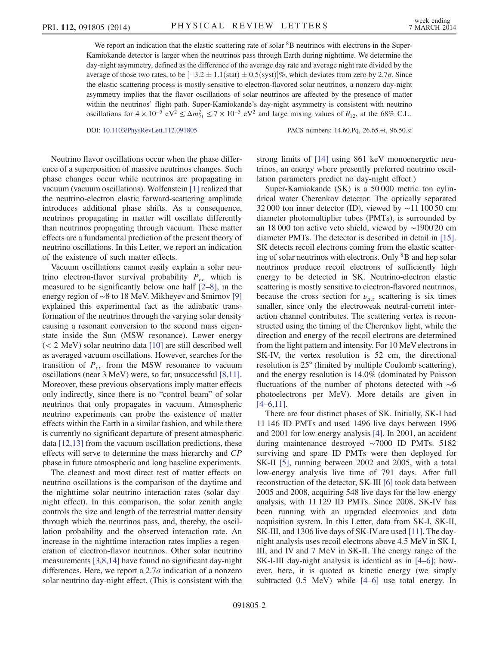We report an indication that the elastic scattering rate of solar <sup>8</sup>B neutrinos with electrons in the Super-Kamiokande detector is larger when the neutrinos pass through Earth during nighttime. We determine the day-night asymmetry, defined as the difference of the average day rate and average night rate divided by the average of those two rates, to be  $[-3.2 \pm 1.1)(stat) \pm 0.5(syst)]\%$ , which deviates from zero by 2.7 $\sigma$ . Since the elastic scattering process is mostly sensitive to electron-flavored solar neutrinos, a nonzero day-night asymmetry implies that the flavor oscillations of solar neutrinos are affected by the presence of matter within the neutrinos' flight path. Super-Kamiokande's day-night asymmetry is consistent with neutrino oscillations for  $4 \times 10^{-5}$  eV<sup>2</sup>  $\leq \Delta m_{21}^2 \leq 7 \times 10^{-5}$  eV<sup>2</sup> and large mixing values of  $\theta_{12}$ , at the 68% C.L.

DOI: [10.1103/PhysRevLett.112.091805](http://dx.doi.org/10.1103/PhysRevLett.112.091805) PACS numbers: 14.60.Pq, 26.65.+t, 96.50.sf

Neutrino flavor oscillations occur when the phase difference of a superposition of massive neutrinos changes. Such phase changes occur while neutrinos are propagating in vacuum (vacuum oscillations). Wolfenstein [\[1\]](#page-5-2) realized that the neutrino-electron elastic forward-scattering amplitude introduces additional phase shifts. As a consequence, neutrinos propagating in matter will oscillate differently than neutrinos propagating through vacuum. These matter effects are a fundamental prediction of the present theory of neutrino oscillations. In this Letter, we report an indication of the existence of such matter effects.

Vacuum oscillations cannot easily explain a solar neutrino electron-flavor survival probability  $P_{ee}$  which is measured to be significantly below one half [2–[8\]](#page-5-3), in the energy region of ∼8 to 18 MeV. Mikheyev and Smirnov [\[9\]](#page-5-4) explained this experimental fact as the adiabatic transformation of the neutrinos through the varying solar density causing a resonant conversion to the second mass eigenstate inside the Sun (MSW resonance). Lower energy (< 2 MeV) solar neutrino data [\[10\]](#page-5-5) are still described well as averaged vacuum oscillations. However, searches for the transition of  $P_{ee}$  from the MSW resonance to vacuum oscillations (near 3 MeV) were, so far, unsuccessful [\[8,11\]](#page-5-6). Moreover, these previous observations imply matter effects only indirectly, since there is no "control beam" of solar neutrinos that only propagates in vacuum. Atmospheric neutrino experiments can probe the existence of matter effects within the Earth in a similar fashion, and while there is currently no significant departure of present atmospheric data [\[12,13\]](#page-5-7) from the vacuum oscillation predictions, these effects will serve to determine the mass hierarchy and CP phase in future atmospheric and long baseline experiments.

The cleanest and most direct test of matter effects on neutrino oscillations is the comparison of the daytime and the nighttime solar neutrino interaction rates (solar daynight effect). In this comparison, the solar zenith angle controls the size and length of the terrestrial matter density through which the neutrinos pass, and, thereby, the oscillation probability and the observed interaction rate. An increase in the nighttime interaction rates implies a regeneration of electron-flavor neutrinos. Other solar neutrino measurements [\[3,8,14\]](#page-5-8) have found no significant day-night differences. Here, we report a  $2.7\sigma$  indication of a nonzero solar neutrino day-night effect. (This is consistent with the strong limits of [\[14\]](#page-5-9) using 861 keV monoenergetic neutrinos, an energy where presently preferred neutrino oscillation parameters predict no day-night effect.)

Super-Kamiokande (SK) is a 50 000 metric ton cylindrical water Cherenkov detector. The optically separated 32 000 ton inner detector (ID), viewed by ∼11 100 50 cm diameter photomultiplier tubes (PMTs), is surrounded by an 18 000 ton active veto shield, viewed by ∼1900 20 cm diameter PMTs. The detector is described in detail in [\[15\]](#page-5-10). SK detects recoil electrons coming from the elastic scattering of solar neutrinos with electrons. Only <sup>8</sup>B and hep solar neutrinos produce recoil electrons of sufficiently high energy to be detected in SK. Neutrino-electron elastic scattering is mostly sensitive to electron-flavored neutrinos, because the cross section for  $\nu_{\mu,\tau}$  scattering is six times smaller, since only the electroweak neutral-current interaction channel contributes. The scattering vertex is reconstructed using the timing of the Cherenkov light, while the direction and energy of the recoil electrons are determined from the light pattern and intensity. For 10 MeVelectrons in SK-IV, the vertex resolution is 52 cm, the directional resolution is 25° (limited by multiple Coulomb scattering), and the energy resolution is 14.0% (dominated by Poisson fluctuations of the number of photons detected with ∼6 photoelectrons per MeV). More details are given in  $[4–6,11]$ .

There are four distinct phases of SK. Initially, SK-I had 11 146 ID PMTs and used 1496 live days between 1996 and 2001 for low-energy analysis [\[4\].](#page-5-11) In 2001, an accident during maintenance destroyed ∼7000 ID PMTs. 5182 surviving and spare ID PMTs were then deployed for SK-II [\[5\],](#page-5-12) running between 2002 and 2005, with a total low-energy analysis live time of 791 days. After full reconstruction of the detector, SK-III [\[6\]](#page-5-13) took data between 2005 and 2008, acquiring 548 live days for the low-energy analysis, with 11 129 ID PMTs. Since 2008, SK-IV has been running with an upgraded electronics and data acquisition system. In this Letter, data from SK-I, SK-II, SK-III, and 1306 live days of SK-IVare used [\[11\]](#page-5-14). The daynight analysis uses recoil electrons above 4.5 MeV in SK-I, III, and IV and 7 MeV in SK-II. The energy range of the SK-I-III day-night analysis is identical as in [4–[6\];](#page-5-11) however, here, it is quoted as kinetic energy (we simply subtracted 0.5 MeV) while [4–[6\]](#page-5-11) use total energy. In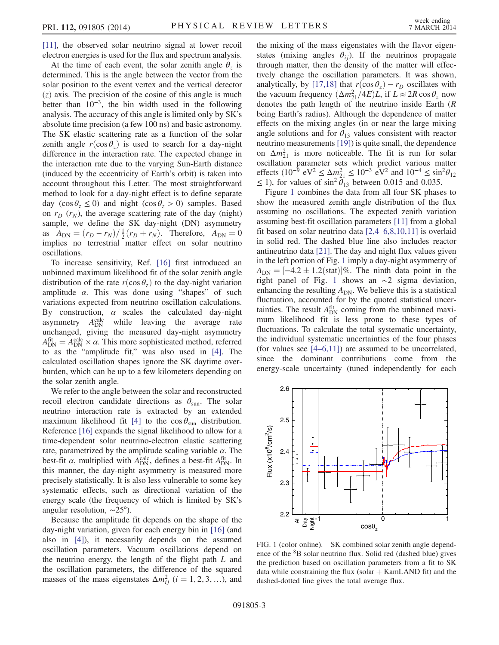[\[11\]](#page-5-14), the observed solar neutrino signal at lower recoil electron energies is used for the flux and spectrum analysis.

At the time of each event, the solar zenith angle  $\theta_z$  is determined. This is the angle between the vector from the solar position to the event vertex and the vertical detector  $(z)$  axis. The precision of the cosine of this angle is much better than  $10^{-3}$ , the bin width used in the following analysis. The accuracy of this angle is limited only by SK's absolute time precision (a few 100 ns) and basic astronomy. The SK elastic scattering rate as a function of the solar zenith angle  $r(\cos \theta_7)$  is used to search for a day-night difference in the interaction rate. The expected change in the interaction rate due to the varying Sun-Earth distance (induced by the eccentricity of Earth's orbit) is taken into account throughout this Letter. The most straightforward method to look for a day-night effect is to define separate day (cos  $\theta_z \le 0$ ) and night (cos  $\theta_z > 0$ ) samples. Based on  $r_D$  ( $r_N$ ), the average scattering rate of the day (night) sample, we define the SK day-night (DN) asymmetry as  $A_{DN} = (r_D - r_N)/\frac{1}{2}(r_D + r_N)$ . Therefore,  $A_{DN} = 0$ implies no terrestrial matter effect on solar neutrino oscillations.

To increase sensitivity, Ref. [\[16\]](#page-5-15) first introduced an unbinned maximum likelihood fit of the solar zenith angle distribution of the rate  $r(\cos \theta_z)$  to the day-night variation amplitude  $\alpha$ . This was done using "shapes" of such variations expected from neutrino oscillation calculations. By construction,  $\alpha$  scales the calculated day-night asymmetry  $A_{\text{DN}}^{\text{calc}}$  while leaving the average rate unchanged, giving the measured day-night asymmetry  $A_{\text{DN}}^{\text{fit}} = A_{\text{DN}}^{\text{calc}} \times \alpha$ . This more sophisticated method, referred to as the "amplitude fit," was also used in [\[4\].](#page-5-11) The calculated oscillation shapes ignore the SK daytime overburden, which can be up to a few kilometers depending on the solar zenith angle.

We refer to the angle between the solar and reconstructed recoil electron candidate directions as  $\theta_{sun}$ . The solar neutrino interaction rate is extracted by an extended maximum likelihood fit [\[4\]](#page-5-11) to the  $\cos \theta_{\text{sun}}$  distribution. Reference [\[16\]](#page-5-15) expands the signal likelihood to allow for a time-dependent solar neutrino-electron elastic scattering rate, parametrized by the amplitude scaling variable  $\alpha$ . The best-fit  $\alpha$ , multiplied with  $A_{DN}^{\text{calc}}$ , defines a best-fit  $A_{DN}^{\text{fit}}$ . In this manner, the day-night asymmetry is measured more precisely statistically. It is also less vulnerable to some key systematic effects, such as directional variation of the energy scale (the frequency of which is limited by SK's angular resolution, ∼25°).

Because the amplitude fit depends on the shape of the day-night variation, given for each energy bin in [\[16\]](#page-5-15) (and also in [\[4\]](#page-5-11)), it necessarily depends on the assumed oscillation parameters. Vacuum oscillations depend on the neutrino energy, the length of the flight path  $L$  and the oscillation parameters, the difference of the squared masses of the mass eigenstates  $\Delta m_{ij}^2$  ( $i = 1, 2, 3, ...$ ), and the mixing of the mass eigenstates with the flavor eigenstates (mixing angles  $\theta_{ij}$ ). If the neutrinos propagate through matter, then the density of the matter will effectively change the oscillation parameters. It was shown, analytically, by [\[17,18\]](#page-5-16) that  $r(\cos \theta_z) - r_D$  oscillates with the vacuum frequency  $(\Delta m_{21}^2/4E)L$ , if  $L \approx 2R \cos \theta_z$  now denotes the path length of the neutrino inside Earth (R being Earth's radius). Although the dependence of matter effects on the mixing angles (in or near the large mixing angle solutions and for  $\theta_{13}$  values consistent with reactor neutrino measurements [\[19\]\)](#page-5-17) is quite small, the dependence on  $\Delta m_{21}^2$  is more noticeable. The fit is run for solar oscillation parameter sets which predict various matter effects (10<sup>-9</sup> eV<sup>2</sup> ≤  $\Delta m_{21}^2$  ≤ 10<sup>-3</sup> eV<sup>2</sup> and 10<sup>-4</sup> ≤ sin<sup>2</sup> $\theta_{12}$  $\leq$  1), for values of sin<sup>2</sup>  $\theta_{13}$  between 0.015 and 0.035.

Figure [1](#page-2-0) combines the data from all four SK phases to show the measured zenith angle distribution of the flux assuming no oscillations. The expected zenith variation assuming best-fit oscillation parameters [\[11\]](#page-5-14) from a global fit based on solar neutrino data [2,4–[6,8,10,11\]](#page-5-3) is overlaid in solid red. The dashed blue line also includes reactor antineutrino data [\[21\]](#page-5-18). The day and night flux values given in the left portion of Fig. [1](#page-2-0) imply a day-night asymmetry of  $A_{\text{DN}} = [-4.2 \pm 1.2 \text{(stat)}]\%$ . The ninth data point in the right panel of Fig. [1](#page-2-0) shows an ∼2 sigma deviation, enhancing the resulting  $A_{DN}$ . We believe this is a statistical fluctuation, accounted for by the quoted statistical uncertainties. The result  $A_{DN}^{\text{fit}}$  coming from the unbinned maximum likelihood fit is less prone to these types of fluctuations. To calculate the total systematic uncertainty, the individual systematic uncertainties of the four phases (for values see [4–[6,11\]\)](#page-5-11) are assumed to be uncorrelated, since the dominant contributions come from the energy-scale uncertainty (tuned independently for each

<span id="page-2-0"></span>

FIG. 1 (color online). SK combined solar zenith angle dependence of the <sup>8</sup>B solar neutrino flux. Solid red (dashed blue) gives the prediction based on oscillation parameters from a fit to SK data while constraining the flux (solar  $+$  KamLAND fit) and the dashed-dotted line gives the total average flux.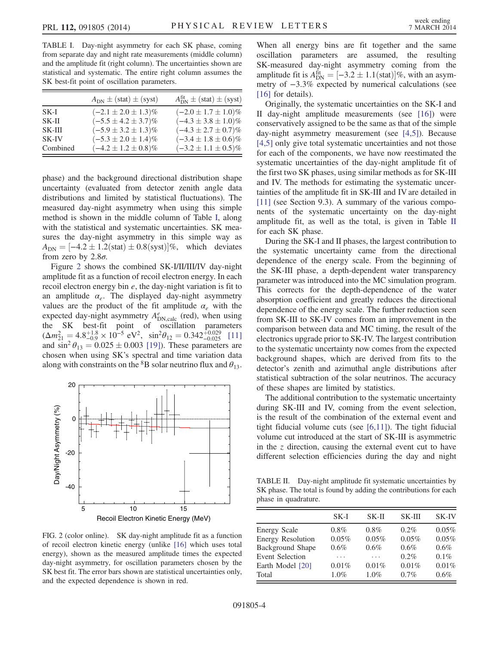<span id="page-3-0"></span>TABLE I. Day-night asymmetry for each SK phase, coming from separate day and night rate measurements (middle column) and the amplitude fit (right column). The uncertainties shown are statistical and systematic. The entire right column assumes the SK best-fit point of oscillation parameters.

|          | $A_{DN} \pm (stat) \pm (syst)$ | $A_{\text{DN}}^{\text{fit}} \pm (\text{stat}) \pm (\text{syst})$ |
|----------|--------------------------------|------------------------------------------------------------------|
| $SK-I$   | $(-2.1 \pm 2.0 \pm 1.3)\%$     | $(-2.0 \pm 1.7 \pm 1.0)\%$                                       |
| $SK-II$  | $(-5.5 \pm 4.2 \pm 3.7)\%$     | $(-4.3 \pm 3.8 \pm 1.0)\%$                                       |
| $SK-III$ | $(-5.9 \pm 3.2 \pm 1.3)\%$     | $(-4.3 \pm 2.7 \pm 0.7)\%$                                       |
| SK-IV    | $(-5.3 \pm 2.0 \pm 1.4)\%$     | $(-3.4 \pm 1.8 \pm 0.6)\%$                                       |
| Combined | $(-4.2 \pm 1.2 \pm 0.8)\%$     | $(-3.2 \pm 1.1 \pm 0.5)\%$                                       |

phase) and the background directional distribution shape uncertainty (evaluated from detector zenith angle data distributions and limited by statistical fluctuations). The measured day-night asymmetry when using this simple method is shown in the middle column of Table [I](#page-3-0), along with the statistical and systematic uncertainties. SK measures the day-night asymmetry in this simple way as  $A_{\text{DN}} = [-4.2 \pm 1.2 \text{(stat)} \pm 0.8 \text{(syst)}]\%$ , which deviates from zero by  $2.8\sigma$ .

Figure [2](#page-3-1) shows the combined SK-I/II/III/IV day-night amplitude fit as a function of recoil electron energy. In each recoil electron energy bin  $e$ , the day-night variation is fit to an amplitude  $\alpha_e$ . The displayed day-night asymmetry values are the product of the fit amplitude  $\alpha_e$  with the expected day-night asymmetry  $A_{\text{DN,calc}}^e$  (red), when using the SK best-fit point of oscillation parameters  $(\Delta m_{21}^2 = 4.8_{-0.9}^{+1.8} \times 10^{-5} \text{ eV}^2$ ,  $\sin^2 \theta_{12} = 0.342_{-0.025}^{+0.029}$  [\[11\]](#page-5-14) and  $\sin^2 \theta_{13} = 0.025 \pm 0.003$  [\[19\]\)](#page-5-17). These parameters are chosen when using SK's spectral and time variation data along with constraints on the  ${}^{8}B$  solar neutrino flux and  $\theta_{13}$ .

<span id="page-3-1"></span>

FIG. 2 (color online). SK day-night amplitude fit as a function of recoil electron kinetic energy (unlike [\[16\]](#page-5-15) which uses total energy), shown as the measured amplitude times the expected day-night asymmetry, for oscillation parameters chosen by the SK best fit. The error bars shown are statistical uncertainties only, and the expected dependence is shown in red.

When all energy bins are fit together and the same oscillation parameters are assumed, the resulting SK-measured day-night asymmetry coming from the amplitude fit is  $A_{\text{DN}}^{\text{fit}} = [-3.2 \pm 1.1 \text{(stat)}]\%$ , with an asymmetry of −3.3% expected by numerical calculations (see [\[16\]](#page-5-15) for details).

Originally, the systematic uncertainties on the SK-I and II day-night amplitude measurements (see [\[16\]\)](#page-5-15) were conservatively assigned to be the same as that of the simple day-night asymmetry measurement (see [\[4,5\]](#page-5-11)). Because [\[4,5\]](#page-5-11) only give total systematic uncertainties and not those for each of the components, we have now reestimated the systematic uncertainties of the day-night amplitude fit of the first two SK phases, using similar methods as for SK-III and IV. The methods for estimating the systematic uncertainties of the amplitude fit in SK-III and IV are detailed in [\[11\]](#page-5-14) (see Section 9.3). A summary of the various components of the systematic uncertainty on the day-night amplitude fit, as well as the total, is given in Table [II](#page-3-2) for each SK phase.

During the SK-I and II phases, the largest contribution to the systematic uncertainty came from the directional dependence of the energy scale. From the beginning of the SK-III phase, a depth-dependent water transparency parameter was introduced into the MC simulation program. This corrects for the depth-dependence of the water absorption coefficient and greatly reduces the directional dependence of the energy scale. The further reduction seen from SK-III to SK-IV comes from an improvement in the comparison between data and MC timing, the result of the electronics upgrade prior to SK-IV. The largest contribution to the systematic uncertainty now comes from the expected background shapes, which are derived from fits to the detector's zenith and azimuthal angle distributions after statistical subtraction of the solar neutrinos. The accuracy of these shapes are limited by statistics.

The additional contribution to the systematic uncertainty during SK-III and IV, coming from the event selection, is the result of the combination of the external event and tight fiducial volume cuts (see  $[6,11]$ ). The tight fiducial volume cut introduced at the start of SK-III is asymmetric in the  $\zeta$  direction, causing the external event cut to have different selection efficiencies during the day and night

<span id="page-3-2"></span>TABLE II. Day-night amplitude fit systematic uncertainties by SK phase. The total is found by adding the contributions for each phase in quadrature.

|                          | SK-I    | SK-II   | <b>SK-III</b> | <b>SK-IV</b> |
|--------------------------|---------|---------|---------------|--------------|
| <b>Energy Scale</b>      | $0.8\%$ | $0.8\%$ | $0.2\%$       | 0.05%        |
| <b>Energy Resolution</b> | 0.05%   | 0.05%   | 0.05%         | 0.05%        |
| <b>Background Shape</b>  | 0.6%    | 0.6%    | 0.6%          | 0.6%         |
| <b>Event Selection</b>   | .       | .       | $0.2\%$       | $0.1\%$      |
| Earth Model [20]         | 0.01%   | 0.01%   | 0.01%         | 0.01%        |
| Total                    | $1.0\%$ | $1.0\%$ | 0.7%          | $0.6\%$      |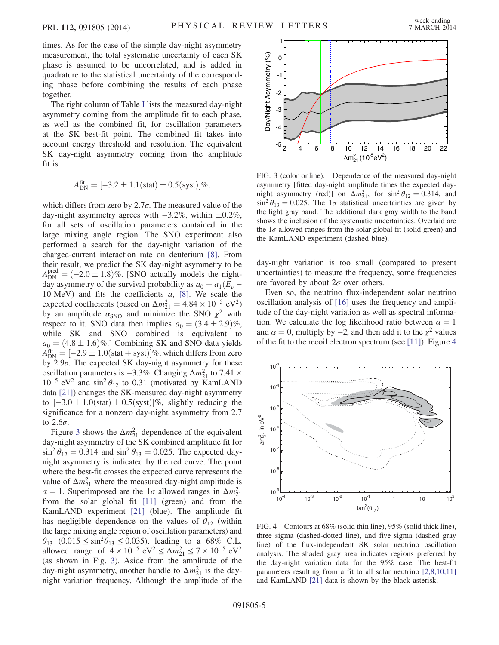times. As for the case of the simple day-night asymmetry measurement, the total systematic uncertainty of each SK phase is assumed to be uncorrelated, and is added in quadrature to the statistical uncertainty of the corresponding phase before combining the results of each phase together.

The right column of Table [I](#page-3-0) lists the measured day-night asymmetry coming from the amplitude fit to each phase, as well as the combined fit, for oscillation parameters at the SK best-fit point. The combined fit takes into account energy threshold and resolution. The equivalent SK day-night asymmetry coming from the amplitude fit is

$$
A_{\rm DN}^{\rm fit} = [-3.2 \pm 1.1(\text{stat}) \pm 0.5(\text{syst})] \%,
$$

which differs from zero by  $2.7\sigma$ . The measured value of the day-night asymmetry agrees with  $-3.2\%$ , within  $\pm 0.2\%$ , for all sets of oscillation parameters contained in the large mixing angle region. The SNO experiment also performed a search for the day-night variation of the charged-current interaction rate on deuterium [\[8\].](#page-5-6) From their result, we predict the SK day-night asymmetry to be  $A_{\text{DN}}^{\text{pred}} = (-2.0 \pm 1.8)\%$ . [SNO actually models the nightday asymmetry of the survival probability as  $a_0 + a_1(E_\nu -$ 10 MeV) and fits the coefficients  $a_i$  [\[8\].](#page-5-6) We scale the expected coefficients (based on  $\Delta m_{21}^2 = 4.84 \times 10^{-5} \text{ eV}^2$ ) by an amplitude  $\alpha_{\text{SNO}}$  and minimize the SNO  $\chi^2$  with respect to it. SNO data then implies  $a_0 = (3.4 \pm 2.9)\%$ , while SK and SNO combined is equivalent to  $a_0 = (4.8 \pm 1.6)\%$ .] Combining SK and SNO data yields  $A_{\text{DN}}^{\text{fit}} = [-2.9 \pm 1.0(\text{stat} + \text{syst})]\%$ , which differs from zero by  $2.9\sigma$ . The expected SK day-night asymmetry for these oscillation parameters is  $-3.3\%$ . Changing  $\Delta m_{21}^2$  to 7.41 ×  $10^{-5}$  eV<sup>2</sup> and sin<sup>2</sup>  $\theta_{12}$  to 0.31 (motivated by KamLAND data [\[21\]\)](#page-5-18) changes the SK-measured day-night asymmetry to  $[-3.0 \pm 1.0(\text{stat}) \pm 0.5(\text{syst})]$ %, slightly reducing the significance for a nonzero day-night asymmetry from 2.7 to 2.6σ.

Figure [3](#page-4-0) shows the  $\Delta m_{21}^2$  dependence of the equivalent day-night asymmetry of the SK combined amplitude fit for  $\sin^2 \theta_{12} = 0.314$  and  $\sin^2 \theta_{13} = 0.025$ . The expected daynight asymmetry is indicated by the red curve. The point where the best-fit crosses the expected curve represents the value of  $\Delta m_{21}^2$  where the measured day-night amplitude is  $\alpha = 1$ . Superimposed are the  $1\sigma$  allowed ranges in  $\Delta m_{21}^2$ from the solar global fit [\[11\]](#page-5-14) (green) and from the KamLAND experiment [\[21\]](#page-5-18) (blue). The amplitude fit has negligible dependence on the values of  $\theta_{12}$  (within the large mixing angle region of oscillation parameters) and  $\theta_{13}$  (0.015  $\leq \sin^2 \theta_{13} \leq 0.035$ ), leading to a 68% C.L. allowed range of  $4 \times 10^{-5}$  eV<sup>2</sup> ≤  $\Delta m_{21}^2$  ≤  $7 \times 10^{-5}$  eV<sup>2</sup> (as shown in Fig. [3](#page-4-0)). Aside from the amplitude of the day-night asymmetry, another handle to  $\Delta m_{21}^2$  is the daynight variation frequency. Although the amplitude of the

<span id="page-4-0"></span>

FIG. 3 (color online). Dependence of the measured day-night asymmetry [fitted day-night amplitude times the expected daynight asymmetry (red)] on  $\Delta m_{21}^2$ , for  $\sin^2 \theta_{12} = 0.314$ , and  $\sin^2 \theta_{13} = 0.025$ . The 1 $\sigma$  statistical uncertainties are given by the light gray band. The additional dark gray width to the band shows the inclusion of the systematic uncertainties. Overlaid are the  $1\sigma$  allowed ranges from the solar global fit (solid green) and the KamLAND experiment (dashed blue).

day-night variation is too small (compared to present uncertainties) to measure the frequency, some frequencies are favored by about  $2\sigma$  over others.

Even so, the neutrino flux-independent solar neutrino oscillation analysis of [\[16\]](#page-5-15) uses the frequency and amplitude of the day-night variation as well as spectral information. We calculate the log likelihood ratio between  $\alpha = 1$ and  $\alpha = 0$ , multiply by  $-2$ , and then add it to the  $\chi^2$  values of the fit to the recoil electron spectrum (see [\[11\]\)](#page-5-14). Figure [4](#page-4-1)

<span id="page-4-1"></span>

FIG. 4 Contours at  $68\%$  (solid thin line),  $95\%$  (solid thick line), three sigma (dashed-dotted line), and five sigma (dashed gray line) of the flux-independent SK solar neutrino oscillation analysis. The shaded gray area indicates regions preferred by the day-night variation data for the 95% case. The best-fit parameters resulting from a fit to all solar neutrino [\[2,8,10,11\]](#page-5-3) and KamLAND [\[21\]](#page-5-18) data is shown by the black asterisk.